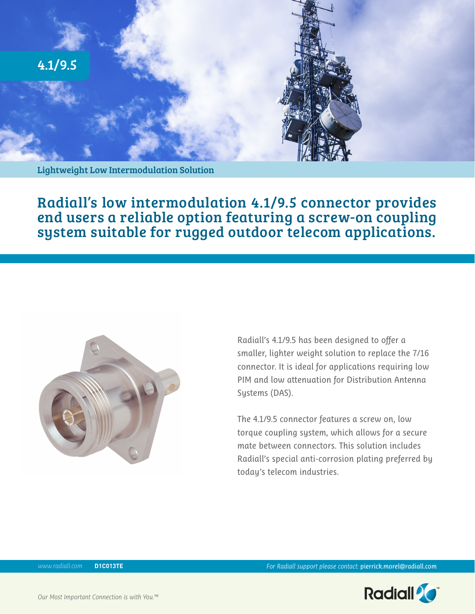

Radiall's low intermodulation 4.1/9.5 connector provides end users a reliable option featuring a screw-on coupling system suitable for rugged outdoor telecom applications.



Radiall's 4.1/9.5 has been designed to offer a smaller, lighter weight solution to replace the 7/16 connector. It is ideal for applications requiring low PIM and low attenuation for Distribution Antenna Systems (DAS).

The 4.1/9.5 connector features a screw on, low torque coupling system, which allows for a secure mate between connectors. This solution includes Radiall's special anti-corrosion plating preferred by today's telecom industries.